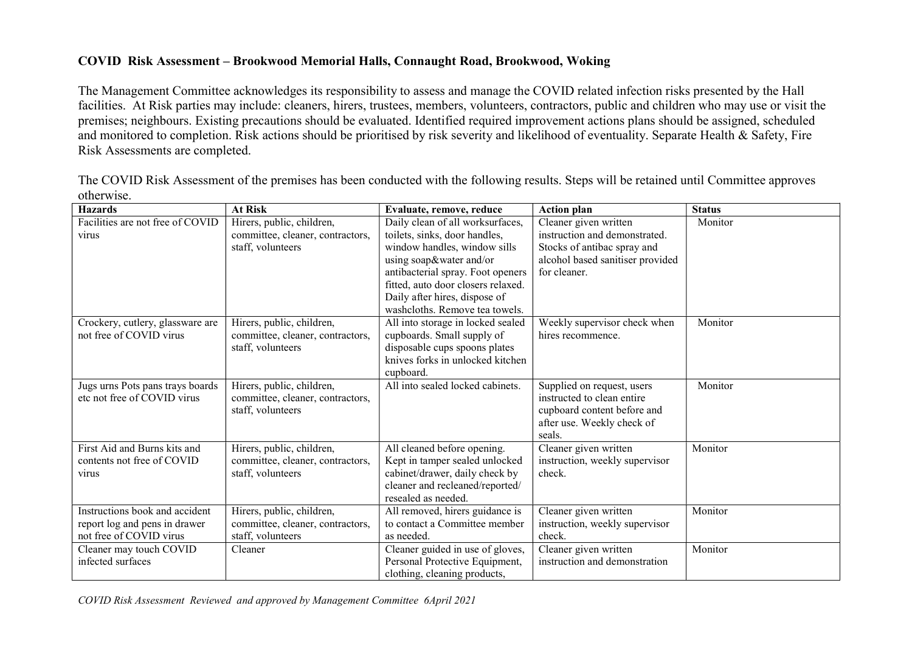## COVID Risk Assessment – Brookwood Memorial Halls, Connaught Road, Brookwood, Woking

The Management Committee acknowledges its responsibility to assess and manage the COVID related infection risks presented by the Hall facilities. At Risk parties may include: cleaners, hirers, trustees, members, volunteers, contractors, public and children who may use or visit the premises; neighbours. Existing precautions should be evaluated. Identified required improvement actions plans should be assigned, scheduled and monitored to completion. Risk actions should be prioritised by risk severity and likelihood of eventuality. Separate Health & Safety, Fire Risk Assessments are completed.

The COVID Risk Assessment of the premises has been conducted with the following results. Steps will be retained until Committee approves otherwise.

| <b>Hazards</b>                                                                             | <b>At Risk</b>                                                                     | Evaluate, remove, reduce                                                                                                                                                                              | <b>Action plan</b>                                                                                                              | <b>Status</b> |
|--------------------------------------------------------------------------------------------|------------------------------------------------------------------------------------|-------------------------------------------------------------------------------------------------------------------------------------------------------------------------------------------------------|---------------------------------------------------------------------------------------------------------------------------------|---------------|
| Facilities are not free of COVID<br>virus                                                  | Hirers, public, children,<br>committee, cleaner, contractors,                      | Daily clean of all worksurfaces,<br>toilets, sinks, door handles,                                                                                                                                     | Cleaner given written<br>instruction and demonstrated.                                                                          | Monitor       |
|                                                                                            | staff, volunteers                                                                  | window handles, window sills<br>using soap&water and/or<br>antibacterial spray. Foot openers<br>fitted, auto door closers relaxed.<br>Daily after hires, dispose of<br>washcloths. Remove tea towels. | Stocks of antibac spray and<br>alcohol based sanitiser provided<br>for cleaner.                                                 |               |
| Crockery, cutlery, glassware are<br>not free of COVID virus                                | Hirers, public, children,<br>committee, cleaner, contractors,<br>staff, volunteers | All into storage in locked sealed<br>cupboards. Small supply of<br>disposable cups spoons plates<br>knives forks in unlocked kitchen<br>cupboard.                                                     | Weekly supervisor check when<br>hires recommence.                                                                               | Monitor       |
| Jugs urns Pots pans trays boards<br>etc not free of COVID virus                            | Hirers, public, children,<br>committee, cleaner, contractors,<br>staff, volunteers | All into sealed locked cabinets.                                                                                                                                                                      | Supplied on request, users<br>instructed to clean entire<br>cupboard content before and<br>after use. Weekly check of<br>seals. | Monitor       |
| First Aid and Burns kits and<br>contents not free of COVID<br>virus                        | Hirers, public, children,<br>committee, cleaner, contractors,<br>staff, volunteers | All cleaned before opening.<br>Kept in tamper sealed unlocked<br>cabinet/drawer, daily check by<br>cleaner and recleaned/reported/<br>resealed as needed.                                             | Cleaner given written<br>instruction, weekly supervisor<br>check.                                                               | Monitor       |
| Instructions book and accident<br>report log and pens in drawer<br>not free of COVID virus | Hirers, public, children,<br>committee, cleaner, contractors,<br>staff, volunteers | All removed, hirers guidance is<br>to contact a Committee member<br>as needed.                                                                                                                        | Cleaner given written<br>instruction, weekly supervisor<br>check.                                                               | Monitor       |
| Cleaner may touch COVID<br>infected surfaces                                               | Cleaner                                                                            | Cleaner guided in use of gloves,<br>Personal Protective Equipment,<br>clothing, cleaning products,                                                                                                    | Cleaner given written<br>instruction and demonstration                                                                          | Monitor       |

COVID Risk Assessment Reviewed and approved by Management Committee 6April 2021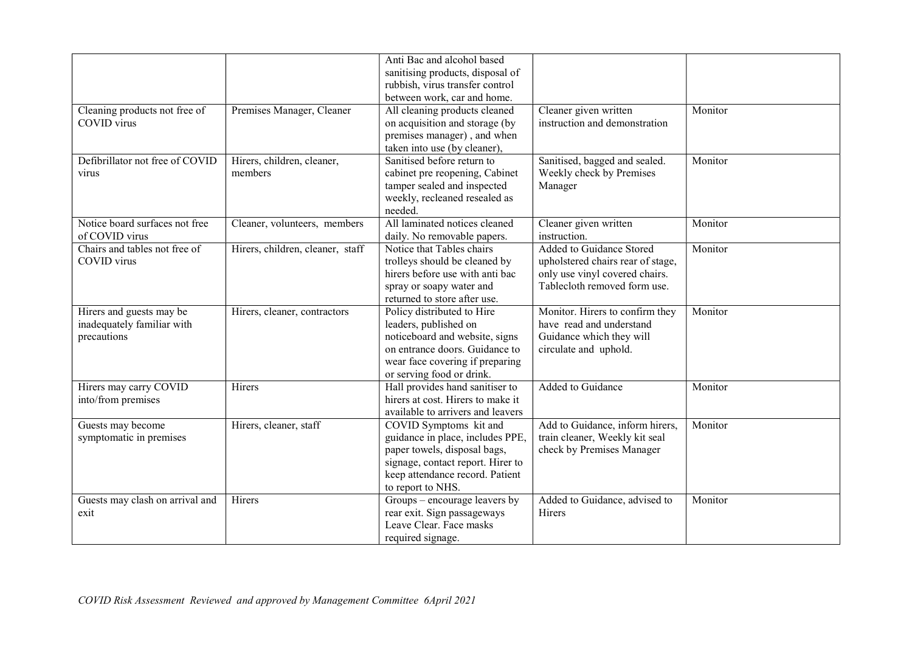| Cleaning products not free of                                         | Premises Manager, Cleaner             | Anti Bac and alcohol based<br>sanitising products, disposal of<br>rubbish, virus transfer control<br>between work, car and home.<br>All cleaning products cleaned                       | Cleaner given written                                                                                                           | Monitor |
|-----------------------------------------------------------------------|---------------------------------------|-----------------------------------------------------------------------------------------------------------------------------------------------------------------------------------------|---------------------------------------------------------------------------------------------------------------------------------|---------|
| <b>COVID</b> virus                                                    |                                       | on acquisition and storage (by<br>premises manager), and when<br>taken into use (by cleaner),                                                                                           | instruction and demonstration                                                                                                   |         |
| Defibrillator not free of COVID<br>virus                              | Hirers, children, cleaner,<br>members | Sanitised before return to<br>cabinet pre reopening, Cabinet<br>tamper sealed and inspected<br>weekly, recleaned resealed as<br>needed.                                                 | Sanitised, bagged and sealed.<br>Weekly check by Premises<br>Manager                                                            | Monitor |
| Notice board surfaces not free<br>of COVID virus                      | Cleaner, volunteers, members          | All laminated notices cleaned<br>daily. No removable papers.                                                                                                                            | Cleaner given written<br>instruction.                                                                                           | Monitor |
| Chairs and tables not free of<br>COVID virus                          | Hirers, children, cleaner, staff      | Notice that Tables chairs<br>trolleys should be cleaned by<br>hirers before use with anti bac<br>spray or soapy water and<br>returned to store after use.                               | Added to Guidance Stored<br>upholstered chairs rear of stage,<br>only use vinyl covered chairs.<br>Tablecloth removed form use. | Monitor |
| Hirers and guests may be<br>inadequately familiar with<br>precautions | Hirers, cleaner, contractors          | Policy distributed to Hire<br>leaders, published on<br>noticeboard and website, signs<br>on entrance doors. Guidance to<br>wear face covering if preparing<br>or serving food or drink. | Monitor. Hirers to confirm they<br>have read and understand<br>Guidance which they will<br>circulate and uphold.                | Monitor |
| Hirers may carry COVID<br>into/from premises                          | Hirers                                | Hall provides hand sanitiser to<br>hirers at cost. Hirers to make it<br>available to arrivers and leavers                                                                               | Added to Guidance                                                                                                               | Monitor |
| Guests may become<br>symptomatic in premises                          | Hirers, cleaner, staff                | COVID Symptoms kit and<br>guidance in place, includes PPE,<br>paper towels, disposal bags,<br>signage, contact report. Hirer to<br>keep attendance record. Patient<br>to report to NHS. | Add to Guidance, inform hirers,<br>train cleaner, Weekly kit seal<br>check by Premises Manager                                  | Monitor |
| Guests may clash on arrival and<br>exit                               | Hirers                                | Groups – encourage leavers by<br>rear exit. Sign passageways<br>Leave Clear. Face masks<br>required signage.                                                                            | Added to Guidance, advised to<br>Hirers                                                                                         | Monitor |